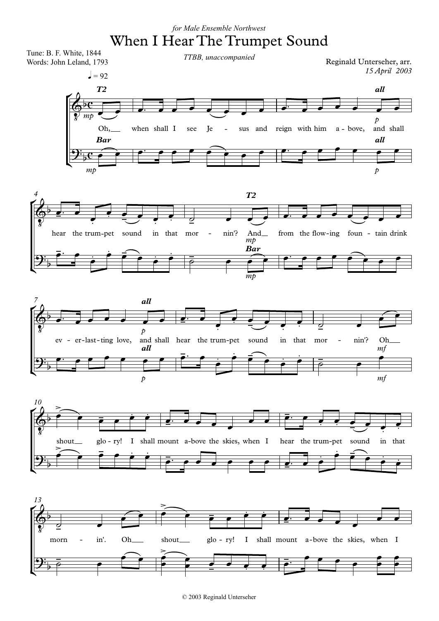## *for Male Ensemble Northwest*

## When I Hear The Trumpet Sound

Tune: B. F. White, 1844 Words: John Leland, 1793

*TTBB, unaccompanied*

Reginald Unterseher, arr. *15 April 2003*









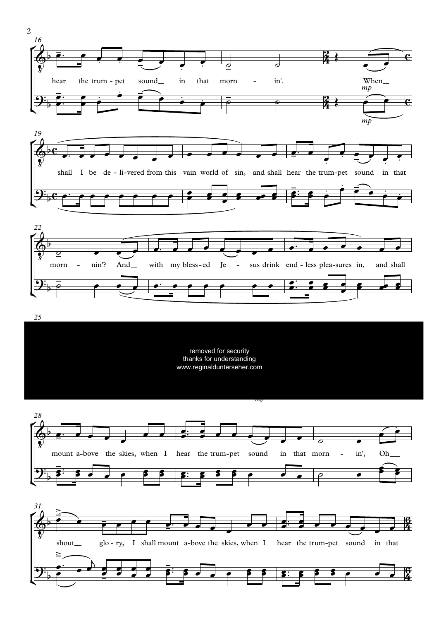





25

removed for security thanks for understanding www.reginaldunterseher.com



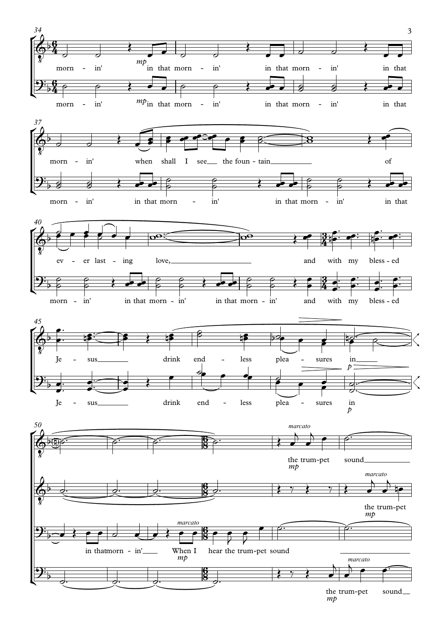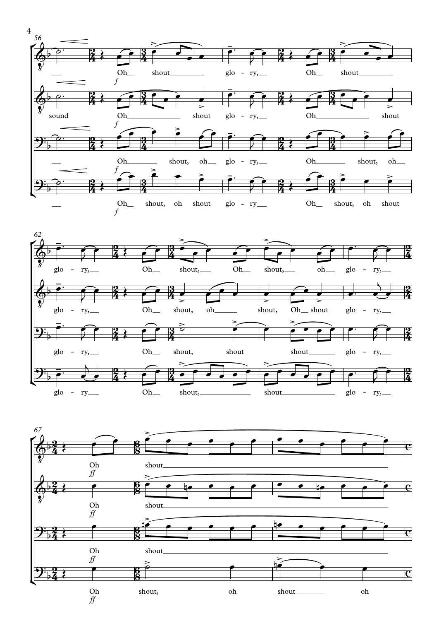